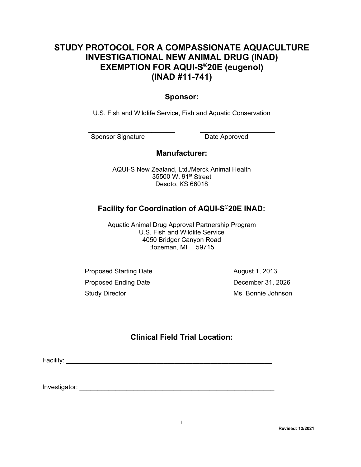## **STUDY PROTOCOL FOR A COMPASSIONATE AQUACULTURE INVESTIGATIONAL NEW ANIMAL DRUG (INAD) EXEMPTION FOR AQUI-S®20E (eugenol) (INAD #11-741)**

### **Sponsor:**

U.S. Fish and Wildlife Service, Fish and Aquatic Conservation

\_\_\_\_\_\_\_\_\_\_\_\_\_\_\_\_\_\_\_\_\_\_ \_\_\_\_\_\_\_\_\_\_\_\_\_\_\_\_\_\_\_ Sponsor Signature Date Approved

### **Manufacturer:**

AQUI-S New Zealand, Ltd./Merck Animal Health 35500 W. 91<sup>st</sup> Street Desoto, KS 66018

## **Facility for Coordination of AQUI-S®20E INAD:**

Aquatic Animal Drug Approval Partnership Program U.S. Fish and Wildlife Service 4050 Bridger Canyon Road Bozeman, Mt 59715

Proposed Starting Date **August 1, 2013** Proposed Ending Date **December 31, 2026** Study Director **Ms. Bonnie Johnson** 

## **Clinical Field Trial Location:**

Facility: \_\_\_\_\_\_\_\_\_\_\_\_\_\_\_\_\_\_\_\_\_\_\_\_\_\_\_\_\_\_\_\_\_\_\_\_\_\_\_\_\_\_\_\_\_\_\_\_\_\_\_\_\_\_\_\_\_

Investigator: \_\_\_\_\_\_\_\_\_\_\_\_\_\_\_\_\_\_\_\_\_\_\_\_\_\_\_\_\_\_\_\_\_\_\_\_\_\_\_\_\_\_\_\_\_\_\_\_\_\_\_\_\_\_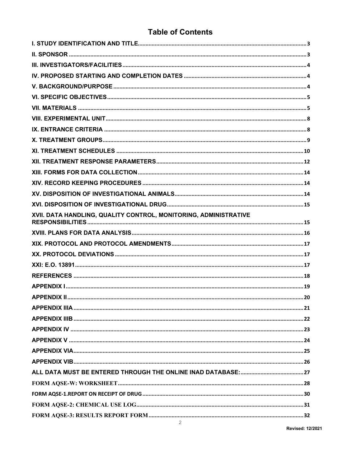## **Table of Contents**

| XVII. DATA HANDLING, QUALITY CONTROL, MONITORING, ADMINISTRATIVE |  |
|------------------------------------------------------------------|--|
|                                                                  |  |
|                                                                  |  |
|                                                                  |  |
|                                                                  |  |
|                                                                  |  |
|                                                                  |  |
|                                                                  |  |
|                                                                  |  |
|                                                                  |  |
|                                                                  |  |
|                                                                  |  |
|                                                                  |  |
|                                                                  |  |
|                                                                  |  |
|                                                                  |  |
|                                                                  |  |
|                                                                  |  |
|                                                                  |  |
|                                                                  |  |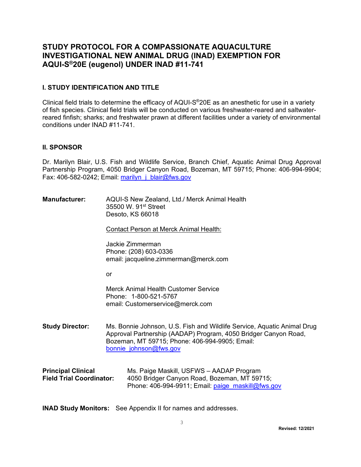## **STUDY PROTOCOL FOR A COMPASSIONATE AQUACULTURE INVESTIGATIONAL NEW ANIMAL DRUG (INAD) EXEMPTION FOR AQUI-S®20E (eugenol) UNDER INAD #11-741**

#### <span id="page-2-0"></span>**I. STUDY IDENTIFICATION AND TITLE**

Clinical field trials to determine the efficacy of AQUI-S®20E as an anesthetic for use in a variety of fish species. Clinical field trials will be conducted on various freshwater-reared and saltwaterreared finfish; sharks; and freshwater prawn at different facilities under a variety of environmental conditions under INAD #11-741.

#### <span id="page-2-1"></span>**II. SPONSOR**

Dr. Marilyn Blair, U.S. Fish and Wildlife Service, Branch Chief, Aquatic Animal Drug Approval Partnership Program, 4050 Bridger Canyon Road, Bozeman, MT 59715; Phone: 406-994-9904; Fax: 406-582-0242; Email: [marilyn\\_j\\_blair@fws.gov](mailto:marilyn_j_blair@fws.gov)

| <b>Manufacturer:</b> | AQUI-S New Zealand, Ltd./ Merck Animal Health |
|----------------------|-----------------------------------------------|
|                      | 35500 W. 91st Street                          |
|                      | Desoto, KS 66018                              |

Contact Person at Merck Animal Health:

Jackie Zimmerman Phone: (208) 603-0336 email: jacqueline.zimmerman@merck.com

or

Merck Animal Health Customer Service Phone: 1-800-521-5767 email: Customerservice@merck.com

**Study Director:** Ms. Bonnie Johnson, U.S. Fish and Wildlife Service, Aquatic Animal Drug Approval Partnership (AADAP) Program, 4050 Bridger Canyon Road, Bozeman, MT 59715; Phone: 406-994-9905; Email: [bonnie\\_johnson@fws.gov](mailto:bonnie_johnson@fws.gov)

| <b>Principal Clinical</b>       | Ms. Paige Maskill, USFWS - AADAP Program               |
|---------------------------------|--------------------------------------------------------|
| <b>Field Trial Coordinator:</b> | 4050 Bridger Canyon Road, Bozeman, MT 59715;           |
|                                 | Phone: $406-994-9911$ ; Email: $paige$ maskill@fws.gov |

**INAD Study Monitors:** See Appendix II for names and addresses.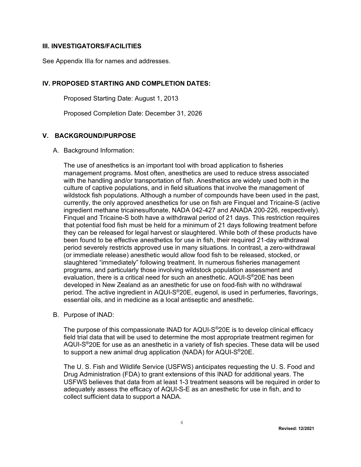#### **III. INVESTIGATORS/FACILITIES**

See Appendix IIIa for names and addresses.

#### **IV. PROPOSED STARTING AND COMPLETION DATES:**

<span id="page-3-1"></span><span id="page-3-0"></span>Proposed Starting Date: August 1, 2013

<span id="page-3-2"></span>Proposed Completion Date: December 31, 2026

#### **V. BACKGROUND/PURPOSE**

A. Background Information:

The use of anesthetics is an important tool with broad application to fisheries management programs. Most often, anesthetics are used to reduce stress associated with the handling and/or transportation of fish. Anesthetics are widely used both in the culture of captive populations, and in field situations that involve the management of wildstock fish populations. Although a number of compounds have been used in the past, currently, the only approved anesthetics for use on fish are Finquel and Tricaine-S (active ingredient methane tricainesulfonate, NADA 042-427 and ANADA 200-226, respectively). Finquel and Tricaine-S both have a withdrawal period of 21 days. This restriction requires that potential food fish must be held for a minimum of 21 days following treatment before they can be released for legal harvest or slaughtered. While both of these products have been found to be effective anesthetics for use in fish, their required 21-day withdrawal period severely restricts approved use in many situations. In contrast, a zero-withdrawal (or immediate release) anesthetic would allow food fish to be released, stocked, or slaughtered "immediately" following treatment. In numerous fisheries management programs, and particularly those involving wildstock population assessment and evaluation, there is a critical need for such an anesthetic. AQUI-S®20E has been developed in New Zealand as an anesthetic for use on food-fish with no withdrawal period. The active ingredient in AQUI-S®20E, eugenol, is used in perfumeries, flavorings. essential oils, and in medicine as a local antiseptic and anesthetic.

B. Purpose of INAD:

The purpose of this compassionate INAD for AQUI-S®20E is to develop clinical efficacy field trial data that will be used to determine the most appropriate treatment regimen for AQUI-S®20E for use as an anesthetic in a variety of fish species. These data will be used to support a new animal drug application (NADA) for AQUI-S®20E.

The U. S. Fish and Wildlife Service (USFWS) anticipates requesting the U. S. Food and Drug Administration (FDA) to grant extensions of this INAD for additional years. The USFWS believes that data from at least 1-3 treatment seasons will be required in order to adequately assess the efficacy of AQUI-S-E as an anesthetic for use in fish, and to collect sufficient data to support a NADA.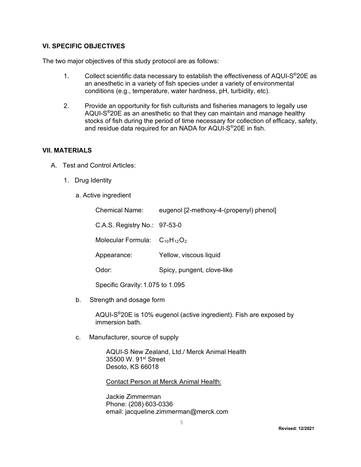#### **VI. SPECIFIC OBJECTIVES**

The two major objectives of this study protocol are as follows:

- <span id="page-4-0"></span>1. Collect scientific data necessary to establish the effectiveness of AQUI-S®20E as an anesthetic in a variety of fish species under a variety of environmental conditions (e.g., temperature, water hardness, pH, turbidity, etc).
- 2. Provide an opportunity for fish culturists and fisheries managers to legally use AQUI-S®20E as an anesthetic so that they can maintain and manage healthy stocks of fish during the period of time necessary for collection of efficacy, safety, and residue data required for an NADA for AQUI-S®20E in fish.

#### **VII. MATERIALS**

- <span id="page-4-1"></span> A. Test and Control Articles:
	- 1. Drug Identity
		- a. Active ingredient

| <b>Chemical Name:</b>                | eugenol [2-methoxy-4-(propenyl) phenol] |
|--------------------------------------|-----------------------------------------|
| C.A.S. Registry No.: 97-53-0         |                                         |
| Molecular Formula: $C_{10}H_{12}O_2$ |                                         |
| Appearance:                          | Yellow, viscous liquid                  |
| Odor:                                | Spicy, pungent, clove-like              |
|                                      |                                         |

Specific Gravity:1.075 to 1.095

b. Strength and dosage form

AQUI-S®20E is 10% eugenol (active ingredient). Fish are exposed by immersion bath.

c. Manufacturer, source of supply

AQUI-S New Zealand, Ltd./ Merck Animal Health 35500 W. 91<sup>st</sup> Street Desoto, KS 66018

Contact Person at Merck Animal Health:

Jackie Zimmerman Phone: (208) 603-0336 email: jacqueline.zimmerman@merck.com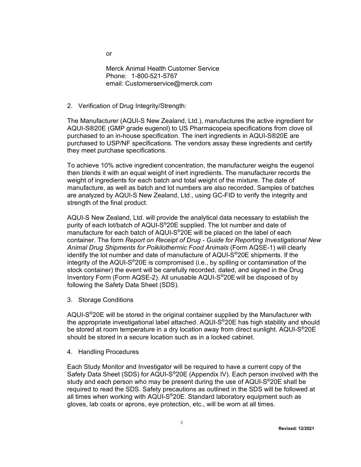or

Merck Animal Health Customer Service Phone: 1-800-521-5767 email: Customerservice@merck.com

2. Verification of Drug Integrity/Strength:

The Manufacturer (AQUI-S New Zealand, Ltd.), manufactures the active ingredient for AQUI-S®20E (GMP grade eugenol) to US Pharmacopeia specifications from clove oil purchased to an in-house specification. The inert ingredients in AQUI-S®20E are purchased to USP/NF specifications. The vendors assay these ingredients and certify they meet purchase specifications.

To achieve 10% active ingredient concentration, the manufacturer weighs the eugenol then blends it with an equal weight of inert ingredients. The manufacturer records the weight of ingredients for each batch and total weight of the mixture. The date of manufacture, as well as batch and lot numbers are also recorded. Samples of batches are analyzed by AQUI-S New Zealand, Ltd., using GC-FID to verify the integrity and strength of the final product.

AQUI-S New Zealand, Ltd. will provide the analytical data necessary to establish the purity of each lot/batch of AQUI-S®20E supplied. The lot number and date of manufacture for each batch of AQUI-S®20E will be placed on the label of each container. The form *Report on Receipt of Drug - Guide for Reporting Investigational New Animal Drug Shipments for Poikilothermic Food Animals* (Form AQSE-1) will clearly identify the lot number and date of manufacture of AQUI-S®20E shipments. If the integrity of the AQUI-S®20E is compromised (i.e., by spilling or contamination of the stock container) the event will be carefully recorded, dated, and signed in the Drug Inventory Form (Form AQSE-2). All unusable AQUI-S®20E will be disposed of by following the Safety Data Sheet (SDS).

3. Storage Conditions

AQUI-S®20E will be stored in the original container supplied by the Manufacturer with the appropriate investigational label attached. AQUI-S<sup>®</sup>20E has high stability and should be stored at room temperature in a dry location away from direct sunlight. AQUI-S®20E should be stored in a secure location such as in a locked cabinet.

4. Handling Procedures

Each Study Monitor and Investigator will be required to have a current copy of the Safety Data Sheet (SDS) for AQUI-S®20E (Appendix IV). Each person involved with the study and each person who may be present during the use of AQUI-S<sup>®</sup>20E shall be required to read the SDS. Safety precautions as outlined in the SDS will be followed at all times when working with AQUI-S®20E. Standard laboratory equipment such as gloves, lab coats or aprons, eye protection, etc., will be worn at all times.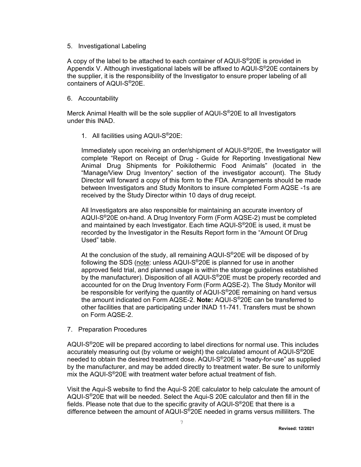#### 5. Investigational Labeling

A copy of the label to be attached to each container of AQUI-S®20E is provided in Appendix V. Although investigational labels will be affixed to AQUI-S®20E containers by the supplier, it is the responsibility of the Investigator to ensure proper labeling of all containers of AQUI-S®20E.

#### 6. Accountability

Merck Animal Health will be the sole supplier of AQUI-S®20E to all Investigators under this INAD.

#### 1. All facilities using AQUI-S®20E:

Immediately upon receiving an order/shipment of AQUI-S®20E, the Investigator will complete "Report on Receipt of Drug - Guide for Reporting Investigational New Animal Drug Shipments for Poikilothermic Food Animals" (located in the "Manage/View Drug Inventory" section of the investigator account). The Study Director will forward a copy of this form to the FDA. Arrangements should be made between Investigators and Study Monitors to insure completed Form AQSE -1s are received by the Study Director within 10 days of drug receipt.

All Investigators are also responsible for maintaining an accurate inventory of AQUI-S®20E on-hand. A Drug Inventory Form (Form AQSE-2) must be completed and maintained by each Investigator. Each time AQUI-S®20E is used, it must be recorded by the Investigator in the Results Report form in the "Amount Of Drug Used" table.

At the conclusion of the study, all remaining AQUI-S®20E will be disposed of by following the SDS (note: unless AQUI-S®20E is planned for use in another approved field trial, and planned usage is within the storage guidelines established by the manufacturer). Disposition of all AQUI-S<sup>®</sup>20E must be properly recorded and accounted for on the Drug Inventory Form (Form AQSE-2). The Study Monitor will be responsible for verifying the quantity of AQUI-S<sup>®</sup>20E remaining on hand versus the amount indicated on Form AQSE-2. **Note:** AQUI-S®20E can be transferred to other facilities that are participating under INAD 11-741. Transfers must be shown on Form AQSE-2.

7. Preparation Procedures

AQUI-S®20E will be prepared according to label directions for normal use. This includes accurately measuring out (by volume or weight) the calculated amount of AQUI-S®20E needed to obtain the desired treatment dose. AQUI-S®20E is "ready-for-use" as supplied by the manufacturer, and may be added directly to treatment water. Be sure to uniformly mix the AQUI-S®20E with treatment water before actual treatment of fish.

Visit the Aqui-S website to find the Aqui-S 20E calculator to help calculate the amount of AQUI-S®20E that will be needed. Select the Aqui-S 20E calculator and then fill in the fields. Please note that due to the specific gravity of  $AQUI-S<sup>®</sup>20E$  that there is a difference between the amount of AQUI-S®20E needed in grams versus milliliters. The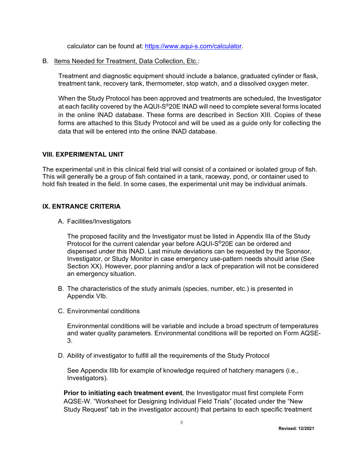calculator can be found at: [https://www.aqui-s.com/calculator.](https://www.aqui-s.com/calculator)

B. Items Needed for Treatment, Data Collection, Etc.:

Treatment and diagnostic equipment should include a balance, graduated cylinder or flask, treatment tank, recovery tank, thermometer, stop watch, and a dissolved oxygen meter.

When the Study Protocol has been approved and treatments are scheduled, the Investigator at each facility covered by the AQUI-S®20E INAD will need to complete several forms located in the online INAD database. These forms are described in Section XIII. Copies of these forms are attached to this Study Protocol and will be used as a guide only for collecting the data that will be entered into the online INAD database.

#### <span id="page-7-0"></span>**VIII. EXPERIMENTAL UNIT**

The experimental unit in this clinical field trial will consist of a contained or isolated group of fish. This will generally be a group of fish contained in a tank, raceway, pond, or container used to hold fish treated in the field. In some cases, the experimental unit may be individual animals.

#### **IX. ENTRANCE CRITERIA**

A. Facilities/Investigators

<span id="page-7-1"></span>The proposed facility and the Investigator must be listed in Appendix IIIa of the Study Protocol for the current calendar year before AQUI-S®20E can be ordered and dispensed under this INAD. Last minute deviations can be requested by the Sponsor, Investigator, or Study Monitor in case emergency use-pattern needs should arise (See Section XX). However, poor planning and/or a lack of preparation will not be considered an emergency situation.

- B. The characteristics of the study animals (species, number, etc.) is presented in Appendix VIb.
- C. Environmental conditions

Environmental conditions will be variable and include a broad spectrum of temperatures and water quality parameters. Environmental conditions will be reported on Form AQSE-3.

D. Ability of investigator to fulfill all the requirements of the Study Protocol

See Appendix IIIb for example of knowledge required of hatchery managers (i.e., Investigators).

**Prior to initiating each treatment event**, the Investigator must first complete Form AQSE-W. "Worksheet for Designing Individual Field Trials" (located under the "New Study Request" tab in the investigator account) that pertains to each specific treatment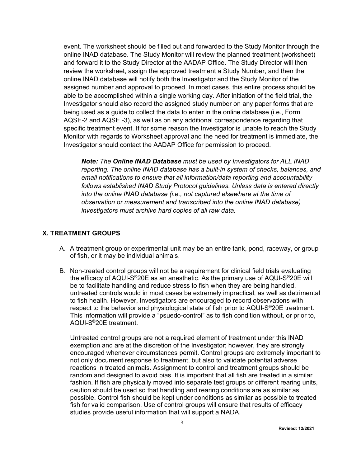event. The worksheet should be filled out and forwarded to the Study Monitor through the online INAD database. The Study Monitor will review the planned treatment (worksheet) and forward it to the Study Director at the AADAP Office. The Study Director will then review the worksheet, assign the approved treatment a Study Number, and then the online INAD database will notify both the Investigator and the Study Monitor of the assigned number and approval to proceed. In most cases, this entire process should be able to be accomplished within a single working day. After initiation of the field trial, the Investigator should also record the assigned study number on any paper forms that are being used as a guide to collect the data to enter in the online database (i.e., Form AQSE-2 and AQSE -3), as well as on any additional correspondence regarding that specific treatment event. If for some reason the Investigator is unable to reach the Study Monitor with regards to Worksheet approval and the need for treatment is immediate, the Investigator should contact the AADAP Office for permission to proceed.

*Note: The Online INAD Database must be used by Investigators for ALL INAD reporting. The online INAD database has a built-in system of checks, balances, and email notifications to ensure that all information/data reporting and accountability follows established INAD Study Protocol guidelines. Unless data is entered directly into the online INAD database (i.e., not captured elsewhere at the time of observation or measurement and transcribed into the online INAD database) investigators must archive hard copies of all raw data.*

#### **X. TREATMENT GROUPS**

- <span id="page-8-0"></span>A. A treatment group or experimental unit may be an entire tank, pond, raceway, or group of fish, or it may be individual animals.
- B. Non-treated control groups will not be a requirement for clinical field trials evaluating the efficacy of AQUI-S®20E as an anesthetic. As the primary use of AQUI-S®20E will be to facilitate handling and reduce stress to fish when they are being handled, untreated controls would in most cases be extremely impractical, as well as detrimental to fish health. However, Investigators are encouraged to record observations with respect to the behavior and physiological state of fish prior to AQUI-S®20E treatment. This information will provide a "psuedo-control" as to fish condition without, or prior to, AQUI-S®20E treatment.

Untreated control groups are not a required element of treatment under this INAD exemption and are at the discretion of the Investigator; however, they are strongly encouraged whenever circumstances permit. Control groups are extremely important to not only document response to treatment, but also to validate potential adverse reactions in treated animals. Assignment to control and treatment groups should be random and designed to avoid bias. It is important that all fish are treated in a similar fashion. If fish are physically moved into separate test groups or different rearing units, caution should be used so that handling and rearing conditions are as similar as possible. Control fish should be kept under conditions as similar as possible to treated fish for valid comparison. Use of control groups will ensure that results of efficacy studies provide useful information that will support a NADA.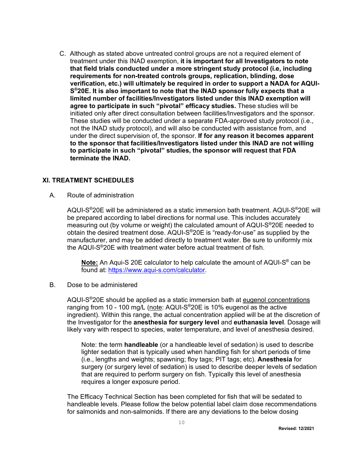C. Although as stated above untreated control groups are not a required element of treatment under this INAD exemption, **it is important for all Investigators to note that field trials conducted under a more stringent study protocol (i.e, including requirements for non-treated controls groups, replication, blinding, dose verification, etc.) will ultimately be required in order to support a NADA for AQUI-S®20E. It is also important to note that the INAD sponsor fully expects that a limited number of facilities/Investigators listed under this INAD exemption will agree to participate in such "pivotal" efficacy studies.** These studies will be initiated only after direct consultation between facilities/Investigators and the sponsor. These studies will be conducted under a separate FDA-approved study protocol (i.e., not the INAD study protocol), and will also be conducted with assistance from, and under the direct supervision of, the sponsor. **If for any reason it becomes apparent to the sponsor that facilities/Investigators listed under this INAD are not willing to participate in such "pivotal" studies, the sponsor will request that FDA terminate the INAD.**

#### **XI. TREATMENT SCHEDULES**

A. Route of administration

<span id="page-9-0"></span>AQUI-S®20E will be administered as a static immersion bath treatment. AQUI-S®20E will be prepared according to label directions for normal use. This includes accurately measuring out (by volume or weight) the calculated amount of AQUI-S®20E needed to obtain the desired treatment dose. AQUI-S®20E is "ready-for-use" as supplied by the manufacturer, and may be added directly to treatment water. Be sure to uniformly mix the AQUI-S®20E with treatment water before actual treatment of fish.

**Note:** An Aqui-S 20E calculator to help calculate the amount of AQUI-S® can be found at: [https://www.aqui-s.com/calculator.](https://www.aqui-s.com/calculator)

B. Dose to be administered

AQUI-S®20E should be applied as a static immersion bath at eugenol concentrations ranging from 10 - 100 mg/L (note: AQUI-S<sup>®</sup>20E is 10% eugenol as the active ingredient). Within this range, the actual concentration applied will be at the discretion of the Investigator for the **anesthesia for surgery level** and **euthanasia level**. Dosage will likely vary with respect to species, water temperature, and level of anesthesia desired.

Note: the term **handleable** (or a handleable level of sedation) is used to describe lighter sedation that is typically used when handling fish for short periods of time (i.e., lengths and weights; spawning; floy tags; PIT tags; etc). **Anesthesia** for surgery (or surgery level of sedation) is used to describe deeper levels of sedation that are required to perform surgery on fish. Typically this level of anesthesia requires a longer exposure period.

The Efficacy Technical Section has been completed for fish that will be sedated to handleable levels. Please follow the below potential label claim dose recommendations for salmonids and non-salmonids. If there are any deviations to the below dosing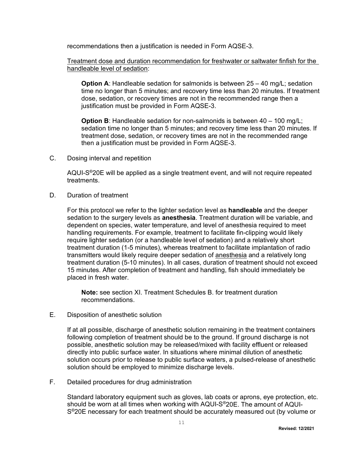recommendations then a justification is needed in Form AQSE-3.

Treatment dose and duration recommendation for freshwater or saltwater finfish for the handleable level of sedation:

**Option A:** Handleable sedation for salmonids is between 25 – 40 mg/L; sedation time no longer than 5 minutes; and recovery time less than 20 minutes. If treatment dose, sedation, or recovery times are not in the recommended range then a justification must be provided in Form AQSE-3.

**Option B**: Handleable sedation for non-salmonids is between 40 – 100 mg/L; sedation time no longer than 5 minutes; and recovery time less than 20 minutes. If treatment dose, sedation, or recovery times are not in the recommended range then a justification must be provided in Form AQSE-3.

C. Dosing interval and repetition

AQUI-S®20E will be applied as a single treatment event, and will not require repeated treatments.

D. Duration of treatment

For this protocol we refer to the lighter sedation level as **handleable** and the deeper sedation to the surgery levels as **anesthesia**. Treatment duration will be variable, and dependent on species, water temperature, and level of anesthesia required to meet handling requirements. For example, treatment to facilitate fin-clipping would likely require lighter sedation (or a handleable level of sedation) and a relatively short treatment duration (1-5 minutes), whereas treatment to facilitate implantation of radio transmitters would likely require deeper sedation of anesthesia and a relatively long treatment duration (5-10 minutes). In all cases, duration of treatment should not exceed 15 minutes. After completion of treatment and handling, fish should immediately be placed in fresh water.

**Note:** see section XI. Treatment Schedules B. for treatment duration recommendations.

E. Disposition of anesthetic solution

If at all possible, discharge of anesthetic solution remaining in the treatment containers following completion of treatment should be to the ground. If ground discharge is not possible, anesthetic solution may be released/mixed with facility effluent or released directly into public surface water. In situations where minimal dilution of anesthetic solution occurs prior to release to public surface waters, a pulsed-release of anesthetic solution should be employed to minimize discharge levels.

F. Detailed procedures for drug administration

Standard laboratory equipment such as gloves, lab coats or aprons, eye protection, etc. should be worn at all times when working with AQUI-S®20E. The amount of AQUI-S<sup>®</sup>20E necessary for each treatment should be accurately measured out (by volume or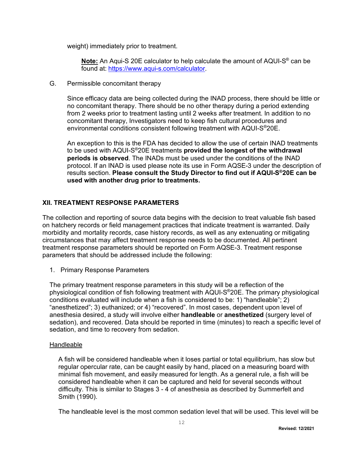weight) immediately prior to treatment.

**Note:** An Aqui-S 20E calculator to help calculate the amount of AQUI-S® can be found at: [https://www.aqui-s.com/calculator.](https://www.aqui-s.com/calculator)

G. Permissible concomitant therapy

Since efficacy data are being collected during the INAD process, there should be little or no concomitant therapy. There should be no other therapy during a period extending from 2 weeks prior to treatment lasting until 2 weeks after treatment. In addition to no concomitant therapy, Investigators need to keep fish cultural procedures and environmental conditions consistent following treatment with AQUI-S®20E.

<span id="page-11-0"></span>An exception to this is the FDA has decided to allow the use of certain INAD treatments to be used with AQUI-S®20E treatments **provided the longest of the withdrawal periods is observed**. The INADs must be used under the conditions of the INAD protocol. If an INAD is used please note its use in Form AQSE-3 under the description of results section. **Please consult the Study Director to find out if AQUI-S®20E can be used with another drug prior to treatments.**

#### **XII. TREATMENT RESPONSE PARAMETERS**

The collection and reporting of source data begins with the decision to treat valuable fish based on hatchery records or field management practices that indicate treatment is warranted. Daily morbidity and mortality records, case history records, as well as any extenuating or mitigating circumstances that may affect treatment response needs to be documented. All pertinent treatment response parameters should be reported on Form AQSE-3. Treatment response parameters that should be addressed include the following:

1. Primary Response Parameters

The primary treatment response parameters in this study will be a reflection of the physiological condition of fish following treatment with AQUI-S®20E. The primary physiological conditions evaluated will include when a fish is considered to be: 1) "handleable"; 2) "anesthetized"; 3) euthanized; or 4) "recovered". In most cases, dependent upon level of anesthesia desired, a study will involve either **handleable** or **anesthetized** (surgery level of sedation), and recovered. Data should be reported in time (minutes) to reach a specific level of sedation, and time to recovery from sedation.

#### Handleable

A fish will be considered handleable when it loses partial or total equilibrium, has slow but regular opercular rate, can be caught easily by hand, placed on a measuring board with minimal fish movement, and easily measured for length. As a general rule, a fish will be considered handleable when it can be captured and held for several seconds without difficulty. This is similar to Stages 3 - 4 of anesthesia as described by Summerfelt and Smith (1990).

The handleable level is the most common sedation level that will be used. This level will be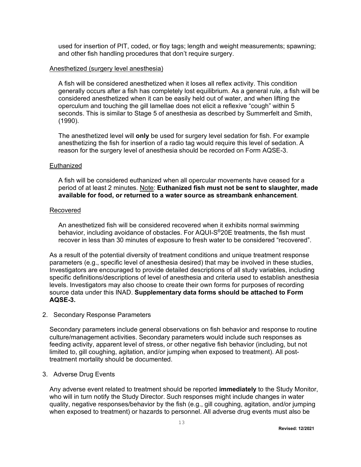used for insertion of PIT, coded, or floy tags; length and weight measurements; spawning; and other fish handling procedures that don't require surgery.

#### Anesthetized (surgery level anesthesia)

A fish will be considered anesthetized when it loses all reflex activity. This condition generally occurs after a fish has completely lost equilibrium. As a general rule, a fish will be considered anesthetized when it can be easily held out of water, and when lifting the operculum and touching the gill lamellae does not elicit a reflexive "cough" within 5 seconds. This is similar to Stage 5 of anesthesia as described by Summerfelt and Smith, (1990).

The anesthetized level will **only** be used for surgery level sedation for fish. For example anesthetizing the fish for insertion of a radio tag would require this level of sedation. A reason for the surgery level of anesthesia should be recorded on Form AQSE-3.

#### **Euthanized**

A fish will be considered euthanized when all opercular movements have ceased for a period of at least 2 minutes. Note: **Euthanized fish must not be sent to slaughter, made available for food, or returned to a water source as streambank enhancement**.

#### Recovered

An anesthetized fish will be considered recovered when it exhibits normal swimming behavior, including avoidance of obstacles. For AQUI-S®20E treatments, the fish must recover in less than 30 minutes of exposure to fresh water to be considered "recovered".

As a result of the potential diversity of treatment conditions and unique treatment response parameters (e.g., specific level of anesthesia desired) that may be involved in these studies, Investigators are encouraged to provide detailed descriptions of all study variables, including specific definitions/descriptions of level of anesthesia and criteria used to establish anesthesia levels. Investigators may also choose to create their own forms for purposes of recording source data under this INAD. **Supplementary data forms should be attached to Form AQSE-3.**

#### 2. Secondary Response Parameters

Secondary parameters include general observations on fish behavior and response to routine culture/management activities. Secondary parameters would include such responses as feeding activity, apparent level of stress, or other negative fish behavior (including, but not limited to, gill coughing, agitation, and/or jumping when exposed to treatment). All posttreatment mortality should be documented.

#### 3. Adverse Drug Events

Any adverse event related to treatment should be reported **immediately** to the Study Monitor, who will in turn notify the Study Director. Such responses might include changes in water quality, negative responses/behavior by the fish (e.g., gill coughing, agitation, and/or jumping when exposed to treatment) or hazards to personnel. All adverse drug events must also be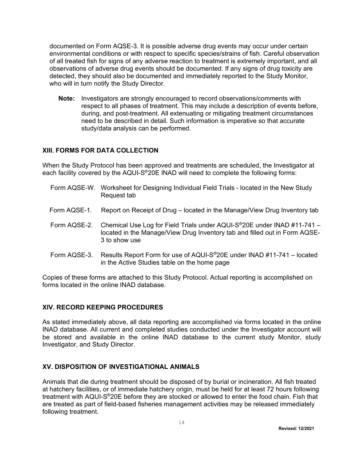documented on Form AQSE-3. It is possible adverse drug events may occur under certain environmental conditions or with respect to specific species/strains of fish. Careful observation of all treated fish for signs of any adverse reaction to treatment is extremely important, and all observations of adverse drug events should be documented. If any signs of drug toxicity are detected, they should also be documented and immediately reported to the Study Monitor, who will in turn notify the Study Director.

<span id="page-13-0"></span>**Note:** Investigators are strongly encouraged to record observations/comments with respect to all phases of treatment. This may include a description of events before, during, and post-treatment. All extenuating or mitigating treatment circumstances need to be described in detail. Such information is imperative so that accurate study/data analysis can be performed.

#### **XIII. FORMS FOR DATA COLLECTION**

When the Study Protocol has been approved and treatments are scheduled, the Investigator at each facility covered by the AQUI-S®20E INAD will need to complete the following forms:

- Form AQSE-W. Worksheet for Designing Individual Field Trials located in the New Study Request tab
- Form AQSE-1. Report on Receipt of Drug located in the Manage/View Drug Inventory tab
- Form AQSE-2. Chemical Use Log for Field Trials under AQUI-S®20E under INAD #11-741 located in the Manage/View Drug Inventory tab and filled out in Form AQSE-3 to show use
- Form AQSE-3. Results Report Form for use of AQUI-S®20E under INAD #11-741 located in the Active Studies table on the home page

Copies of these forms are attached to this Study Protocol. Actual reporting is accomplished on forms located in the online INAD database.

#### <span id="page-13-1"></span>**XIV. RECORD KEEPING PROCEDURES**

As stated immediately above, all data reporting are accomplished via forms located in the online INAD database. All current and completed studies conducted under the Investigator account will be stored and available in the online INAD database to the current study Monitor, study Investigator, and Study Director.

#### <span id="page-13-2"></span>**XV. DISPOSITION OF INVESTIGATIONAL ANIMALS**

Animals that die during treatment should be disposed of by burial or incineration. All fish treated at hatchery facilities, or of immediate hatchery origin, must be held for at least 72 hours following treatment with AQUI-S®20E before they are stocked or allowed to enter the food chain. Fish that are treated as part of field-based fisheries management activities may be released immediately following treatment.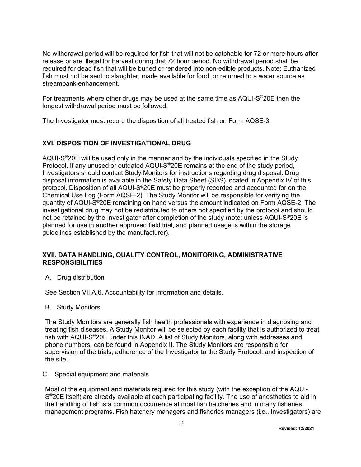No withdrawal period will be required for fish that will not be catchable for 72 or more hours after release or are illegal for harvest during that 72 hour period. No withdrawal period shall be required for dead fish that will be buried or rendered into non-edible products. Note: Euthanized fish must not be sent to slaughter, made available for food, or returned to a water source as streambank enhancement.

For treatments where other drugs may be used at the same time as AQUI-S®20E then the longest withdrawal period must be followed.

The Investigator must record the disposition of all treated fish on Form AQSE-3.

#### <span id="page-14-0"></span>**XVI. DISPOSITION OF INVESTIGATIONAL DRUG**

AQUI-S®20E will be used only in the manner and by the individuals specified in the Study Protocol. If any unused or outdated AQUI-S®20E remains at the end of the study period, Investigators should contact Study Monitors for instructions regarding drug disposal. Drug disposal information is available in the Safety Data Sheet (SDS) located in Appendix IV of this protocol. Disposition of all AQUI-S®20E must be properly recorded and accounted for on the Chemical Use Log (Form AQSE-2). The Study Monitor will be responsible for verifying the quantity of AQUI-S®20E remaining on hand versus the amount indicated on Form AQSE-2. The investigational drug may not be redistributed to others not specified by the protocol and should not be retained by the Investigator after completion of the study (note: unless AQUI-S®20E is planned for use in another approved field trial, and planned usage is within the storage guidelines established by the manufacturer).

#### **XVII. DATA HANDLING, QUALITY CONTROL, MONITORING, ADMINISTRATIVE RESPONSIBILITIES**

<span id="page-14-1"></span>A. Drug distribution

See Section VII.A.6. Accountability for information and details.

B. Study Monitors

The Study Monitors are generally fish health professionals with experience in diagnosing and treating fish diseases. A Study Monitor will be selected by each facility that is authorized to treat fish with AQUI-S®20E under this INAD. A list of Study Monitors, along with addresses and phone numbers, can be found in Appendix II. The Study Monitors are responsible for supervision of the trials, adherence of the Investigator to the Study Protocol, and inspection of the site.

#### C. Special equipment and materials

Most of the equipment and materials required for this study (with the exception of the AQUI-S®20E itself) are already available at each participating facility. The use of anesthetics to aid in the handling of fish is a common occurrence at most fish hatcheries and in many fisheries management programs. Fish hatchery managers and fisheries managers (i.e., Investigators) are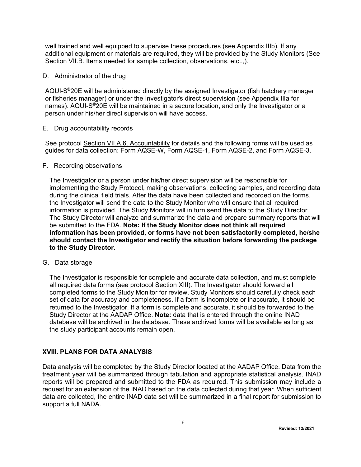well trained and well equipped to supervise these procedures (see Appendix IIIb). If any additional equipment or materials are required, they will be provided by the Study Monitors (See Section VII.B. Items needed for sample collection, observations, etc..,).

#### D. Administrator of the drug

AQUI-S®20E will be administered directly by the assigned Investigator (fish hatchery manager or fisheries manager) or under the Investigator's direct supervision (see Appendix IIIa for names). AQUI-S®20E will be maintained in a secure location, and only the Investigator or a person under his/her direct supervision will have access.

E. Drug accountability records

See protocol Section VII.A.6. Accountability for details and the following forms will be used as guides for data collection: Form AQSE-W, Form AQSE-1, Form AQSE-2, and Form AQSE-3.

#### F. Recording observations

The Investigator or a person under his/her direct supervision will be responsible for implementing the Study Protocol, making observations, collecting samples, and recording data during the clinical field trials. After the data have been collected and recorded on the forms, the Investigator will send the data to the Study Monitor who will ensure that all required information is provided. The Study Monitors will in turn send the data to the Study Director. The Study Director will analyze and summarize the data and prepare summary reports that will be submitted to the FDA. **Note: If the Study Monitor does not think all required information has been provided, or forms have not been satisfactorily completed, he/she should contact the Investigator and rectify the situation before forwarding the package to the Study Director.**

#### G. Data storage

The Investigator is responsible for complete and accurate data collection, and must complete all required data forms (see protocol Section XIII). The Investigator should forward all completed forms to the Study Monitor for review. Study Monitors should carefully check each set of data for accuracy and completeness. If a form is incomplete or inaccurate, it should be returned to the Investigator. If a form is complete and accurate, it should be forwarded to the Study Director at the AADAP Office. **Note:** data that is entered through the online INAD database will be archived in the database. These archived forms will be available as long as the study participant accounts remain open.

#### <span id="page-15-0"></span>**XVIII. PLANS FOR DATA ANALYSIS**

Data analysis will be completed by the Study Director located at the AADAP Office. Data from the treatment year will be summarized through tabulation and appropriate statistical analysis. INAD reports will be prepared and submitted to the FDA as required. This submission may include a request for an extension of the INAD based on the data collected during that year. When sufficient data are collected, the entire INAD data set will be summarized in a final report for submission to support a full NADA.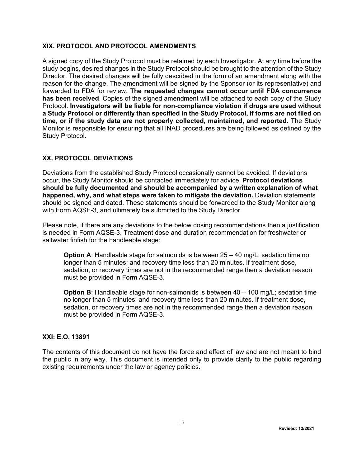#### <span id="page-16-0"></span>**XIX. PROTOCOL AND PROTOCOL AMENDMENTS**

A signed copy of the Study Protocol must be retained by each Investigator. At any time before the study begins, desired changes in the Study Protocol should be brought to the attention of the Study Director. The desired changes will be fully described in the form of an amendment along with the reason for the change. The amendment will be signed by the Sponsor (or its representative) and forwarded to FDA for review. **The requested changes cannot occur until FDA concurrence has been received**. Copies of the signed amendment will be attached to each copy of the Study Protocol. **Investigators will be liable for non-compliance violation if drugs are used without a Study Protocol or differently than specified in the Study Protocol, if forms are not filed on time, or if the study data are not properly collected, maintained, and reported.** The Study Monitor is responsible for ensuring that all INAD procedures are being followed as defined by the Study Protocol.

#### <span id="page-16-1"></span>**XX. PROTOCOL DEVIATIONS**

Deviations from the established Study Protocol occasionally cannot be avoided. If deviations occur, the Study Monitor should be contacted immediately for advice. **Protocol deviations should be fully documented and should be accompanied by a written explanation of what happened, why, and what steps were taken to mitigate the deviation.** Deviation statements should be signed and dated. These statements should be forwarded to the Study Monitor along with Form AQSE-3, and ultimately be submitted to the Study Director

Please note, if there are any deviations to the below dosing recommendations then a justification is needed in Form AQSE-3. Treatment dose and duration recommendation for freshwater or saltwater finfish for the handleable stage:

**Option A**: Handleable stage for salmonids is between 25 – 40 mg/L; sedation time no longer than 5 minutes; and recovery time less than 20 minutes. If treatment dose, sedation, or recovery times are not in the recommended range then a deviation reason must be provided in Form AQSE-3.

**Option B**: Handleable stage for non-salmonids is between 40 – 100 mg/L; sedation time no longer than 5 minutes; and recovery time less than 20 minutes. If treatment dose, sedation, or recovery times are not in the recommended range then a deviation reason must be provided in Form AQSE-3.

#### <span id="page-16-2"></span>**XXI: E.O. 13891**

The contents of this document do not have the force and effect of law and are not meant to bind the public in any way. This document is intended only to provide clarity to the public regarding existing requirements under the law or agency policies.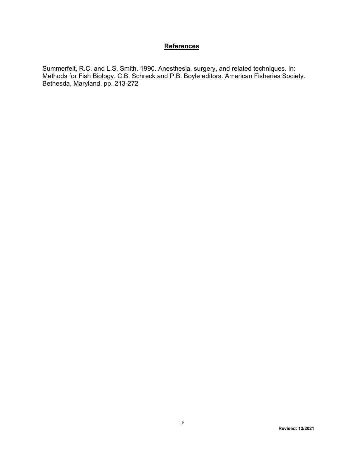#### <span id="page-17-0"></span>**References**

Summerfelt, R.C. and L.S. Smith. 1990. Anesthesia, surgery, and related techniques. In: Methods for Fish Biology. C.B. Schreck and P.B. Boyle editors. American Fisheries Society. Bethesda, Maryland. pp. 213-272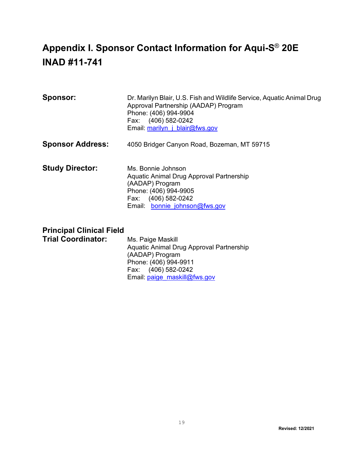## <span id="page-18-0"></span>**Appendix I. Sponsor Contact Information for Aqui-S**® **20E INAD #11-741**

| <b>Sponsor:</b> | Dr. Marilyn Blair, U.S. Fish and Wildlife Service, Aquatic Animal Drug |
|-----------------|------------------------------------------------------------------------|
|                 | Approval Partnership (AADAP) Program                                   |
|                 |                                                                        |
|                 | Phone: (406) 994-9904                                                  |
|                 | Fax: (406) 582-0242                                                    |
|                 | Email: marilyn j blair@fws.gov                                         |
|                 |                                                                        |

- **Sponsor Address:** 4050 Bridger Canyon Road, Bozeman, MT 59715
- **Study Director:** Ms. Bonnie Johnson Aquatic Animal Drug Approval Partnership (AADAP) Program Phone: (406) 994-9905 Fax: (406) 582-0242 Email: bonnie johnson@fws.gov

## **Principal Clinical Field**

**Trial Coordinator:** Ms. Paige Maskill Aquatic Animal Drug Approval Partnership (AADAP) Program Phone: (406) 994-9911 Fax: (406) 582-0242 Email: [paige\\_maskill@fws.gov](mailto:paige_maskill@fws.gov)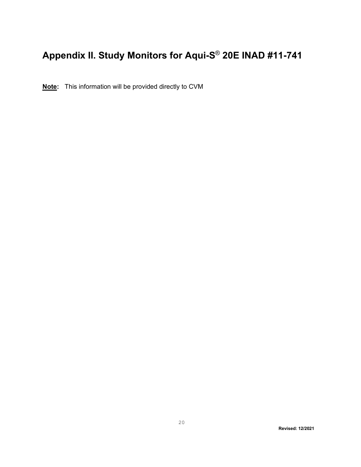# <span id="page-19-0"></span>**Appendix II. Study Monitors for Aqui-S**® **20E INAD #11-741**

**Note:** This information will be provided directly to CVM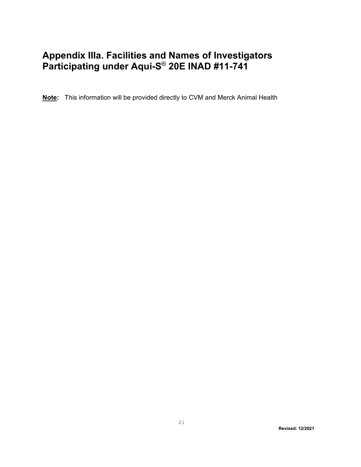## <span id="page-20-0"></span>**Appendix IIIa. Facilities and Names of Investigators Participating under Aqui-S**® **20E INAD #11-741**

**Note:** This information will be provided directly to CVM and Merck Animal Health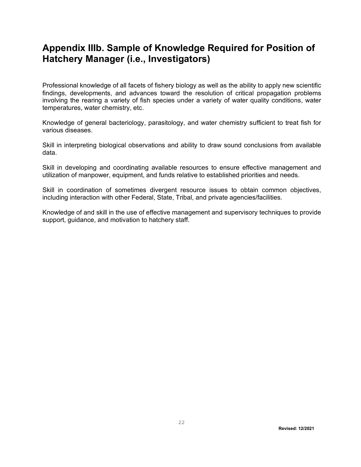## <span id="page-21-0"></span>**Appendix IIIb. Sample of Knowledge Required for Position of Hatchery Manager (i.e., Investigators)**

Professional knowledge of all facets of fishery biology as well as the ability to apply new scientific findings, developments, and advances toward the resolution of critical propagation problems involving the rearing a variety of fish species under a variety of water quality conditions, water temperatures, water chemistry, etc.

Knowledge of general bacteriology, parasitology, and water chemistry sufficient to treat fish for various diseases.

Skill in interpreting biological observations and ability to draw sound conclusions from available data.

Skill in developing and coordinating available resources to ensure effective management and utilization of manpower, equipment, and funds relative to established priorities and needs.

Skill in coordination of sometimes divergent resource issues to obtain common objectives, including interaction with other Federal, State, Tribal, and private agencies/facilities.

Knowledge of and skill in the use of effective management and supervisory techniques to provide support, guidance, and motivation to hatchery staff.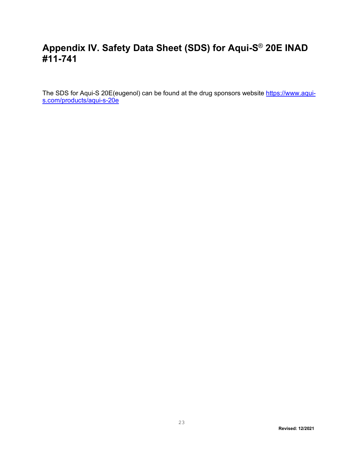## <span id="page-22-0"></span>**Appendix IV. Safety Data Sheet (SDS) for Aqui-S**® **20E INAD #11-741**

The SDS for Aqui-S 20E(eugenol) can be found at the drug sponsors website <u>https://www.aqui-</u> [s.com/products/aqui-s-20e](https://www.aqui-s.com/products/aqui-s-20e)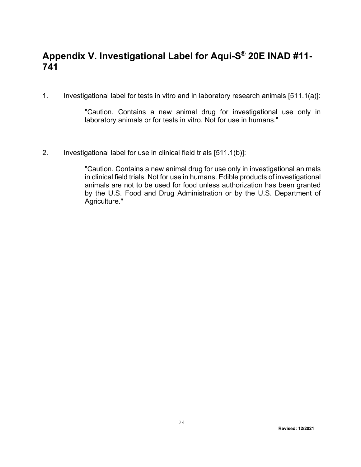## <span id="page-23-0"></span>**Appendix V. Investigational Label for Aqui-S**® **20E INAD #11- 741**

1. Investigational label for tests in vitro and in laboratory research animals [511.1(a)]:

"Caution. Contains a new animal drug for investigational use only in laboratory animals or for tests in vitro. Not for use in humans."

2. Investigational label for use in clinical field trials [511.1(b)]:

"Caution. Contains a new animal drug for use only in investigational animals in clinical field trials. Not for use in humans. Edible products of investigational animals are not to be used for food unless authorization has been granted by the U.S. Food and Drug Administration or by the U.S. Department of Agriculture."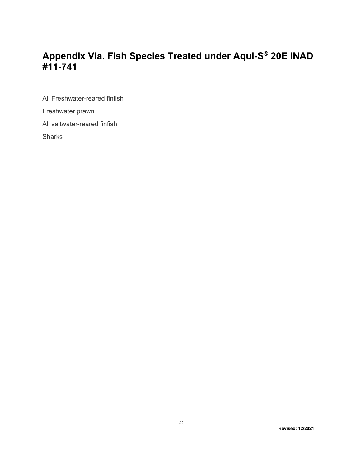## <span id="page-24-0"></span>**Appendix VIa. Fish Species Treated under Aqui-S**® **20E INAD #11-741**

All Freshwater-reared finfish Freshwater prawn All saltwater-reared finfish **Sharks**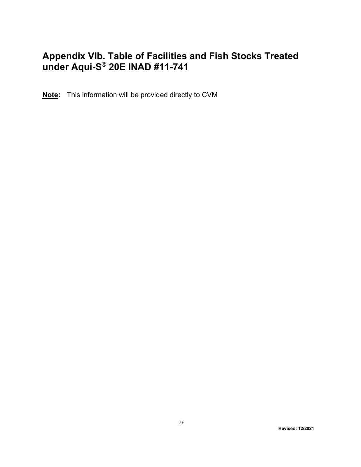## <span id="page-25-0"></span>**Appendix VIb. Table of Facilities and Fish Stocks Treated under Aqui-S**® **20E INAD #11-741**

**Note:** This information will be provided directly to CVM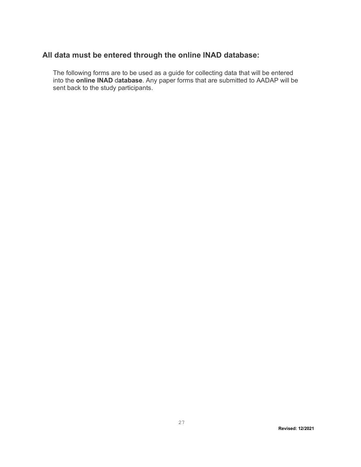## **All data must be entered through the online INAD database:**

<span id="page-26-0"></span>The following forms are to be used as a guide for collecting data that will be entered into the **online INAD** d**atabase**. Any paper forms that are submitted to AADAP will be sent back to the study participants.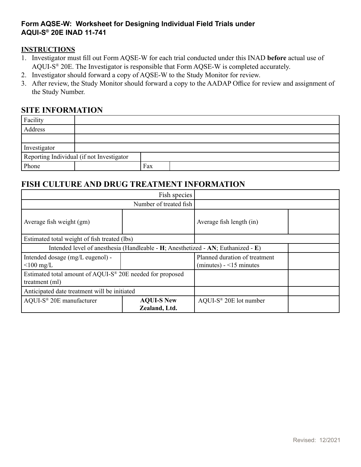### <span id="page-27-0"></span>**Form AQSE-W: Worksheet for Designing Individual Field Trials under AQUI-S® 20E INAD 11-741**

#### **INSTRUCTIONS**

- 1. Investigator must fill out Form AQSE-W for each trial conducted under this INAD **before** actual use of AQUI-S® 20E. The Investigator is responsible that Form AQSE-W is completed accurately.
- 2. Investigator should forward a copy of AQSE-W to the Study Monitor for review.
- 3. After review, the Study Monitor should forward a copy to the AADAP Office for review and assignment of the Study Number.

### **SITE INFORMATION**

| Facility     |                                           |     |  |
|--------------|-------------------------------------------|-----|--|
| Address      |                                           |     |  |
|              |                                           |     |  |
| Investigator |                                           |     |  |
|              | Reporting Individual (if not Investigator |     |  |
| Phone        |                                           | Fax |  |

## **FISH CULTURE AND DRUG TREATMENT INFORMATION**

|                                                                                  | Fish species           |                                                           |  |
|----------------------------------------------------------------------------------|------------------------|-----------------------------------------------------------|--|
|                                                                                  | Number of treated fish |                                                           |  |
| Average fish weight (gm)                                                         |                        | Average fish length (in)                                  |  |
| Estimated total weight of fish treated (lbs)                                     |                        |                                                           |  |
| Intended level of anesthesia (Handleable - H; Anesthetized - AN; Euthanized - E) |                        |                                                           |  |
| Intended dosage (mg/L eugenol) -<br>$\leq 100$ mg/L                              |                        | Planned duration of treatment<br>$(minutes) - 15 minutes$ |  |
| Estimated total amount of AQUI-S® 20E needed for proposed<br>treatment (ml)      |                        |                                                           |  |
| Anticipated date treatment will be initiated                                     |                        |                                                           |  |
| AQUI-S <sup>®</sup> 20E manufacturer<br><b>AQUI-S New</b><br>Zealand, Ltd.       |                        | AQUI-S <sup>®</sup> 20E lot number                        |  |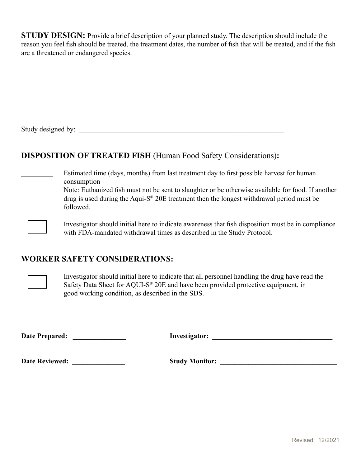**STUDY DESIGN:** Provide a brief description of your planned study. The description should include the reason you feel fish should be treated, the treatment dates, the number of fish that will be treated, and if the fish are a threatened or endangered species.

Study designed by;

## **DISPOSITION OF TREATED FISH** (Human Food Safety Considerations)**:**

Estimated time (days, months) from last treatment day to first possible harvest for human consumption

 Note: Euthanized fish must not be sent to slaughter or be otherwise available for food. If another drug is used during the Aqui-S® 20E treatment then the longest withdrawal period must be followed.



 Investigator should initial here to indicate awareness that fish disposition must be in compliance with FDA-mandated withdrawal times as described in the Study Protocol.

## **WORKER SAFETY CONSIDERATIONS:**



Investigator should initial here to indicate that all personnel handling the drug have read the Safety Data Sheet for AQUI-S® 20E and have been provided protective equipment, in good working condition, as described in the SDS.

**Date Prepared: \_\_\_\_\_\_\_\_\_\_\_\_\_\_\_ Investigator: \_\_\_\_\_\_\_\_\_\_\_\_\_\_\_\_\_\_\_\_\_\_\_\_\_\_\_\_\_\_\_\_\_\_**

**Date Reviewed: \_\_\_\_\_\_\_\_\_\_\_\_\_\_\_ Study Monitor: \_\_\_\_\_\_\_\_\_\_\_\_\_\_\_\_\_\_\_\_\_\_\_\_\_\_\_\_\_\_\_\_\_**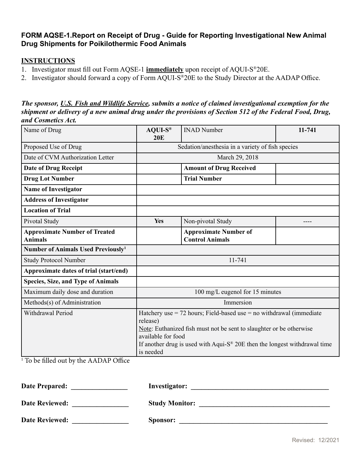### <span id="page-29-0"></span>**FORM AQSE-1.Report on Receipt of Drug - Guide for Reporting Investigational New Animal Drug Shipments for Poikilothermic Food Animals**

#### **INSTRUCTIONS**

- 1. Investigator must fill out Form AQSE-1 **immediately** upon receipt of AQUI-S®20E.
- 2. Investigator should forward a copy of Form AQUI-S®20E to the Study Director at the AADAP Office.

#### *The sponsor, U.S. Fish and Wildlife Service, submits a notice of claimed investigational exemption for the shipment or delivery of a new animal drug under the provisions of Section 512 of the Federal Food, Drug, and Cosmetics Act.*

| Name of Drug                                           | $AQUI-S®$<br><b>20E</b>                                                                                                                                                                                                                                                                    | <b>INAD Number</b>                                     | 11-741 |  |
|--------------------------------------------------------|--------------------------------------------------------------------------------------------------------------------------------------------------------------------------------------------------------------------------------------------------------------------------------------------|--------------------------------------------------------|--------|--|
| Proposed Use of Drug                                   |                                                                                                                                                                                                                                                                                            | Sedation/anesthesia in a variety of fish species       |        |  |
| Date of CVM Authorization Letter                       |                                                                                                                                                                                                                                                                                            | March 29, 2018                                         |        |  |
| <b>Date of Drug Receipt</b>                            |                                                                                                                                                                                                                                                                                            | <b>Amount of Drug Received</b>                         |        |  |
| <b>Drug Lot Number</b>                                 |                                                                                                                                                                                                                                                                                            | <b>Trial Number</b>                                    |        |  |
| <b>Name of Investigator</b>                            |                                                                                                                                                                                                                                                                                            |                                                        |        |  |
| <b>Address of Investigator</b>                         |                                                                                                                                                                                                                                                                                            |                                                        |        |  |
| <b>Location of Trial</b>                               |                                                                                                                                                                                                                                                                                            |                                                        |        |  |
| Pivotal Study                                          | Yes                                                                                                                                                                                                                                                                                        | Non-pivotal Study                                      |        |  |
| <b>Approximate Number of Treated</b><br><b>Animals</b> |                                                                                                                                                                                                                                                                                            | <b>Approximate Number of</b><br><b>Control Animals</b> |        |  |
| Number of Animals Used Previously <sup>1</sup>         |                                                                                                                                                                                                                                                                                            |                                                        |        |  |
| <b>Study Protocol Number</b>                           | 11-741                                                                                                                                                                                                                                                                                     |                                                        |        |  |
| Approximate dates of trial (start/end)                 |                                                                                                                                                                                                                                                                                            |                                                        |        |  |
| <b>Species, Size, and Type of Animals</b>              |                                                                                                                                                                                                                                                                                            |                                                        |        |  |
| Maximum daily dose and duration                        | 100 mg/L eugenol for 15 minutes                                                                                                                                                                                                                                                            |                                                        |        |  |
| Methods(s) of Administration                           | Immersion                                                                                                                                                                                                                                                                                  |                                                        |        |  |
| <b>Withdrawal Period</b>                               | Hatchery use $= 72$ hours; Field-based use $=$ no withdrawal (immediate<br>release)<br>Note: Euthanized fish must not be sent to slaughter or be otherwise<br>available for food<br>If another drug is used with Aqui- $S^{\circledast}$ 20E then the longest withdrawal time<br>is needed |                                                        |        |  |

1 To be filled out by the AADAP Office

| <b>Date Prepared:</b> | Investigator:         |
|-----------------------|-----------------------|
| <b>Date Reviewed:</b> | <b>Study Monitor:</b> |
| <b>Date Reviewed:</b> | Sponsor:              |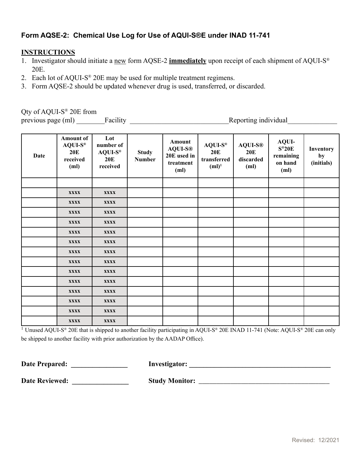## <span id="page-30-0"></span>**Form AQSE-2: Chemical Use Log for Use of AQUI-S®E under INAD 11-741**

#### **INSTRUCTIONS**

- 1. Investigator should initiate a new form AQSE-2 **immediately** upon receipt of each shipment of AQUI-S® 20E.
- 2. Each lot of AQUI-S® 20E may be used for multiple treatment regimens.
- 3. Form AQSE-2 should be updated whenever drug is used, transferred, or discarded.

Qty of AQUI-S® 20E from

previous page (ml) \_\_\_\_\_\_\_\_Facility \_\_\_\_\_\_\_\_\_\_\_\_\_\_\_\_\_\_\_\_\_\_\_\_\_\_\_\_Reporting individual\_\_\_\_\_\_\_\_\_\_\_\_\_\_

| <b>Date</b> | <b>Amount of</b><br>$AQUI-S^*$<br><b>20E</b><br>received<br>(ml) | Lot<br>number of<br>$AQUI-S®$<br><b>20E</b><br>received | <b>Study</b><br><b>Number</b> | Amount<br><b>AQUI-S®</b><br>20E used in<br>treatment<br>(ml) | $AQUI-S^*$<br>20E<br>transferred<br>$(ml)^1$ | <b>AQUI-S®</b><br><b>20E</b><br>discarded<br>(ml) | <b>AQUI-</b><br>$S^*20E$<br>remaining<br>on hand<br>(m <sub>l</sub> ) | Inventory<br>by<br>(initials) |
|-------------|------------------------------------------------------------------|---------------------------------------------------------|-------------------------------|--------------------------------------------------------------|----------------------------------------------|---------------------------------------------------|-----------------------------------------------------------------------|-------------------------------|
|             |                                                                  |                                                         |                               |                                                              |                                              |                                                   |                                                                       |                               |
|             | <b>XXXX</b>                                                      | <b>XXXX</b>                                             |                               |                                                              |                                              |                                                   |                                                                       |                               |
|             | XXXX                                                             | <b>XXXX</b>                                             |                               |                                                              |                                              |                                                   |                                                                       |                               |
|             | <b>XXXX</b>                                                      | <b>XXXX</b>                                             |                               |                                                              |                                              |                                                   |                                                                       |                               |
|             | <b>XXXX</b>                                                      | <b>XXXX</b>                                             |                               |                                                              |                                              |                                                   |                                                                       |                               |
|             | <b>XXXX</b>                                                      | <b>XXXX</b>                                             |                               |                                                              |                                              |                                                   |                                                                       |                               |
|             | <b>XXXX</b>                                                      | <b>XXXX</b>                                             |                               |                                                              |                                              |                                                   |                                                                       |                               |
|             | <b>XXXX</b>                                                      | <b>XXXX</b>                                             |                               |                                                              |                                              |                                                   |                                                                       |                               |
|             | <b>XXXX</b>                                                      | <b>XXXX</b>                                             |                               |                                                              |                                              |                                                   |                                                                       |                               |
|             | <b>XXXX</b>                                                      | <b>XXXX</b>                                             |                               |                                                              |                                              |                                                   |                                                                       |                               |
|             | <b>XXXX</b>                                                      | <b>XXXX</b>                                             |                               |                                                              |                                              |                                                   |                                                                       |                               |
|             | <b>XXXX</b>                                                      | <b>XXXX</b>                                             |                               |                                                              |                                              |                                                   |                                                                       |                               |
|             | <b>XXXX</b>                                                      | <b>XXXX</b>                                             |                               |                                                              |                                              |                                                   |                                                                       |                               |
|             | <b>XXXX</b>                                                      | <b>XXXX</b>                                             |                               |                                                              |                                              |                                                   |                                                                       |                               |
|             | <b>XXXX</b>                                                      | <b>XXXX</b>                                             |                               |                                                              |                                              |                                                   |                                                                       |                               |

<sup>1</sup> Unused AQUI-S<sup>®</sup> 20E that is shipped to another facility participating in AQUI-S<sup>®</sup> 20E INAD 11-741 (Note: AQUI-S<sup>®</sup> 20E can only be shipped to another facility with prior authorization by the AADAP Office).

**Date Prepared: \_\_\_\_\_\_\_\_\_\_\_\_\_\_\_\_ Investigator: \_\_\_\_\_\_\_\_\_\_\_\_\_\_\_\_\_\_\_\_\_\_\_\_\_\_\_\_\_\_\_\_\_\_\_\_\_\_\_\_**

**Date Reviewed: \_\_\_\_\_\_\_\_\_\_\_\_\_\_\_\_ Study Monitor:** \_\_\_\_\_\_\_\_\_\_\_\_\_\_\_\_\_\_\_\_\_\_\_\_\_\_\_\_\_\_\_\_\_\_\_\_\_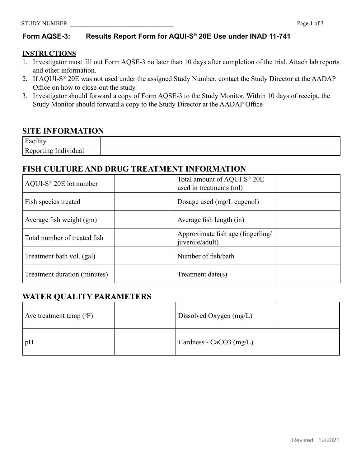## <span id="page-31-0"></span>**Form AQSE-3: Results Report Form for AQUI-S® 20E Use under INAD 11-741**

#### **INSTRUCTIONS**

- 1. Investigator must fill out Form AQSE-3 no later than 10 days after completion of the trial. Attach lab reports and other information.
- 2. If AQUI-S® 20E was not used under the assigned Study Number, contact the Study Director at the AADAP Office on how to close-out the study.
- 3. Investigator should forward a copy of Form AQSE-3 to the Study Monitor. Within 10 days of receipt, the Study Monitor should forward a copy to the Study Director at the AADAP Office

## **SITE INFORMATION**

| $\ddot{\phantom{0}}$<br>$\mathbf{r}$           |  |
|------------------------------------------------|--|
| т<br>.<br>ua.<br>VI UII)<br>$-1$<br>$-11 - 12$ |  |

## **FISH CULTURE AND DRUG TREATMENT INFORMATION**

| $AQUI-S^{\circledast}$ 20E lot number | Total amount of AQUI-S® 20E<br>used in treatments (ml) |
|---------------------------------------|--------------------------------------------------------|
| Fish species treated                  | Dosage used (mg/L eugenol)                             |
| Average fish weight (gm)              | Average fish length (in)                               |
| Total number of treated fish          | Approximate fish age (fingerling/<br>juvenile/adult)   |
| Treatment bath vol. (gal)             | Number of fish/bath                                    |
| Treatment duration (minutes)          | Treatment date $(s)$                                   |

## **WATER QUALITY PARAMETERS**

| Ave treatment temp $({}^{\circ}F)$ | Dissolved Oxygen (mg/L) |  |
|------------------------------------|-------------------------|--|
| $\mathsf{h}_\text{p}$              | Hardness - CaCO3 (mg/L) |  |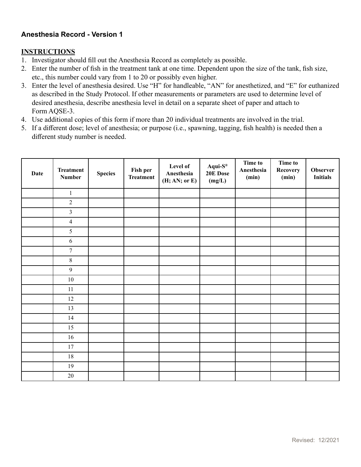### **Anesthesia Record - Version 1**

#### **INSTRUCTIONS**

- 1. Investigator should fill out the Anesthesia Record as completely as possible.
- 2. Enter the number of fish in the treatment tank at one time. Dependent upon the size of the tank, fish size, etc., this number could vary from 1 to 20 or possibly even higher.
- 3. Enter the level of anesthesia desired. Use "H" for handleable, "AN" for anesthetized, and "E" for euthanized as described in the Study Protocol. If other measurements or parameters are used to determine level of desired anesthesia, describe anesthesia level in detail on a separate sheet of paper and attach to Form AQSE-3.
- 4. Use additional copies of this form if more than 20 individual treatments are involved in the trial.
- 5. If a different dose; level of anesthesia; or purpose (i.e., spawning, tagging, fish health) is needed then a different study number is needed.

| <b>Date</b> | <b>Treatment</b><br><b>Number</b> | <b>Species</b> | Fish per<br><b>Treatment</b> | Level of<br>Anesthesia<br>(H; AN; or E) | $Aqui-S^®$<br>20E Dose<br>(mg/L) | <b>Time to</b><br>Anesthesia<br>(min) | <b>Time to</b><br>Recovery<br>(min) | <b>Observer</b><br><b>Initials</b> |
|-------------|-----------------------------------|----------------|------------------------------|-----------------------------------------|----------------------------------|---------------------------------------|-------------------------------------|------------------------------------|
|             | $\,1\,$                           |                |                              |                                         |                                  |                                       |                                     |                                    |
|             | $\sqrt{2}$                        |                |                              |                                         |                                  |                                       |                                     |                                    |
|             | $\overline{3}$                    |                |                              |                                         |                                  |                                       |                                     |                                    |
|             | $\overline{4}$                    |                |                              |                                         |                                  |                                       |                                     |                                    |
|             | 5                                 |                |                              |                                         |                                  |                                       |                                     |                                    |
|             | $\sqrt{6}$                        |                |                              |                                         |                                  |                                       |                                     |                                    |
|             | $\overline{7}$                    |                |                              |                                         |                                  |                                       |                                     |                                    |
|             | $\,8\,$                           |                |                              |                                         |                                  |                                       |                                     |                                    |
|             | $\overline{9}$                    |                |                              |                                         |                                  |                                       |                                     |                                    |
|             | $10\,$                            |                |                              |                                         |                                  |                                       |                                     |                                    |
|             | $11\,$                            |                |                              |                                         |                                  |                                       |                                     |                                    |
|             | 12                                |                |                              |                                         |                                  |                                       |                                     |                                    |
|             | 13                                |                |                              |                                         |                                  |                                       |                                     |                                    |
|             | 14                                |                |                              |                                         |                                  |                                       |                                     |                                    |
|             | 15                                |                |                              |                                         |                                  |                                       |                                     |                                    |
|             | $16\,$                            |                |                              |                                         |                                  |                                       |                                     |                                    |
|             | $17\,$                            |                |                              |                                         |                                  |                                       |                                     |                                    |
|             | $18\,$                            |                |                              |                                         |                                  |                                       |                                     |                                    |
|             | 19                                |                |                              |                                         |                                  |                                       |                                     |                                    |
|             | $20\,$                            |                |                              |                                         |                                  |                                       |                                     |                                    |